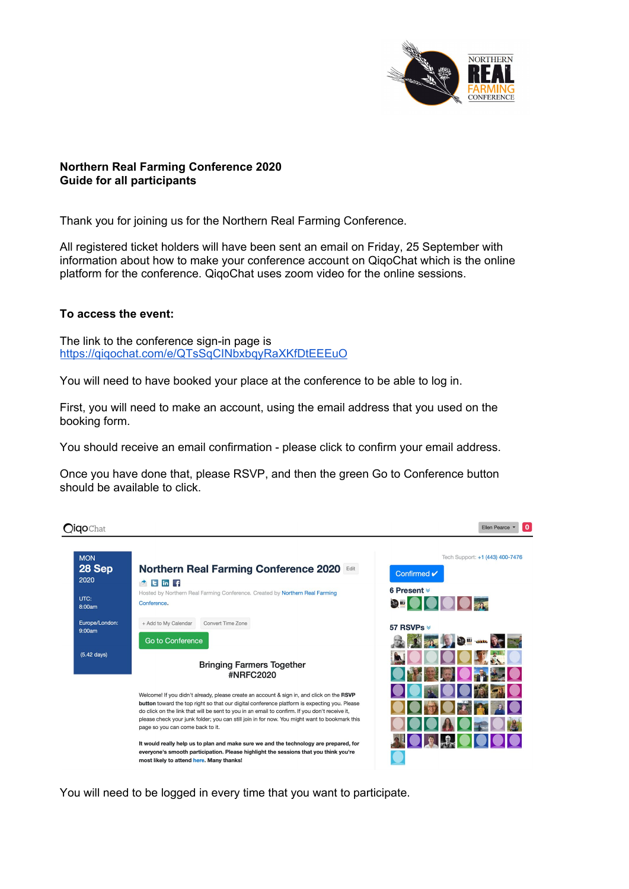

## **Northern Real Farming Conference 2020 Guide for all participants**

Thank you for joining us for the Northern Real Farming Conference.

All registered ticket holders will have been sent an email on Friday, 25 September with information about how to make your conference account on QiqoChat which is the online platform for the conference. QiqoChat uses zoom video for the online sessions.

## **To access the event:**

The link to the conference sign-in page is <https://qiqochat.com/e/QTsSqCINbxbqyRaXKfDtEEEuO>

You will need to have booked your place at the conference to be able to log in.

First, you will need to make an account, using the email address that you used on the booking form.

You should receive an email confirmation - please click to confirm your email address.

Once you have done that, please RSVP, and then the green Go to Conference button should be available to click.

Ellen Pearce v 0 **Oiqo**Chat Tech Support: +1 (443) 400-7476 **MON** 28 Sep **Northern Real Farming Conference 2020** Confirmed v 2020  $\triangle$  E in F 6 Present  $*$ Hosted by Northern Real Farming Conference. Created by Northern Real Farming UTC: Conference.  $\mathcal{L}$ 8:00am Europe/London: + Add to My Calendar Convert Time Zone 57 RSVPs  $Q:OMam$ Go to Conference  $-2^{3} - 1$  $(5.42$  days) **Bringing Farmers Together** #NRFC2020 Welcome! If you didn't already, please create an account & sign in, and click on the RSVP button toward the top right so that our digital conference platform is expecting you. Please do click on the link that will be sent to you in an email to confirm. If you don't receive it, please check your junk folder; you can still join in for now. You might want to bookmark this page so you can come back to it.  $\blacksquare$ It would really help us to plan and make sure we and the technology are prepared, for everyone's smooth participation. Please highlight the sessions that you think you're most likely to attend here. Many thanks!

You will need to be logged in every time that you want to participate.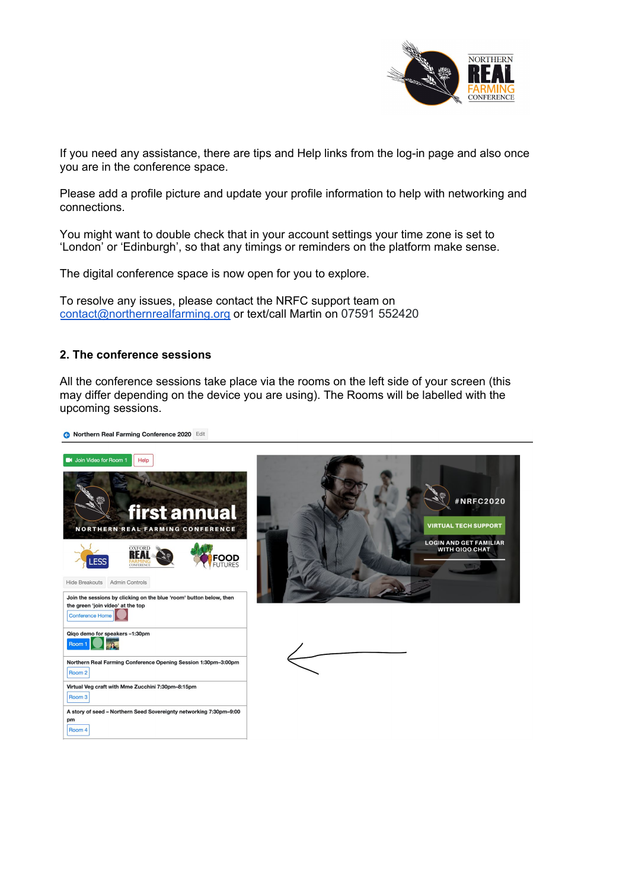

If you need any assistance, there are tips and Help links from the log-in page and also once you are in the conference space.

Please add a profile picture and update your profile information to help with networking and connections.

You might want to double check that in your account settings your time zone is set to 'London' or 'Edinburgh', so that any timings or reminders on the platform make sense.

The digital conference space is now open for you to explore.

To resolve any issues, please contact the NRFC support team on [contact@northernrealfarming.org](mailto:contact@northernrealfarming.org) or text/call Martin on 07591 552420

### **2. The conference sessions**

All the conference sessions take place via the rooms on the left side of your screen (this may differ depending on the device you are using). The Rooms will be labelled with the upcoming sessions.

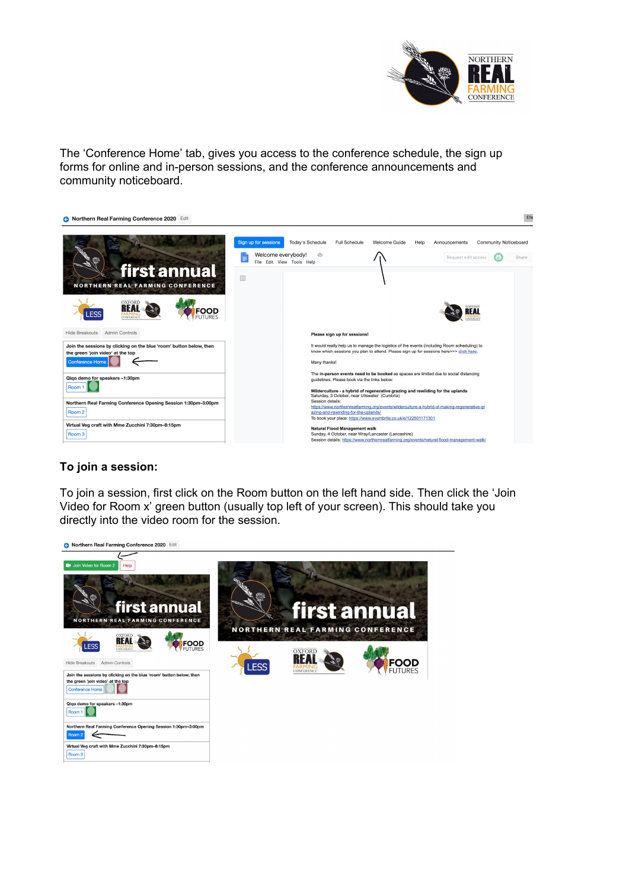

The 'Conference Home' tab, gives you access to the conference schedule, the sign up forms for online and in-person sessions, and the conference announcements and community noticeboard.



# **To join a session:**

To join a session, first click on the Room button on the left hand side. Then click the 'Join Video for Room x' green button (usually top left of your screen). This should take you directly into the video room for the session.

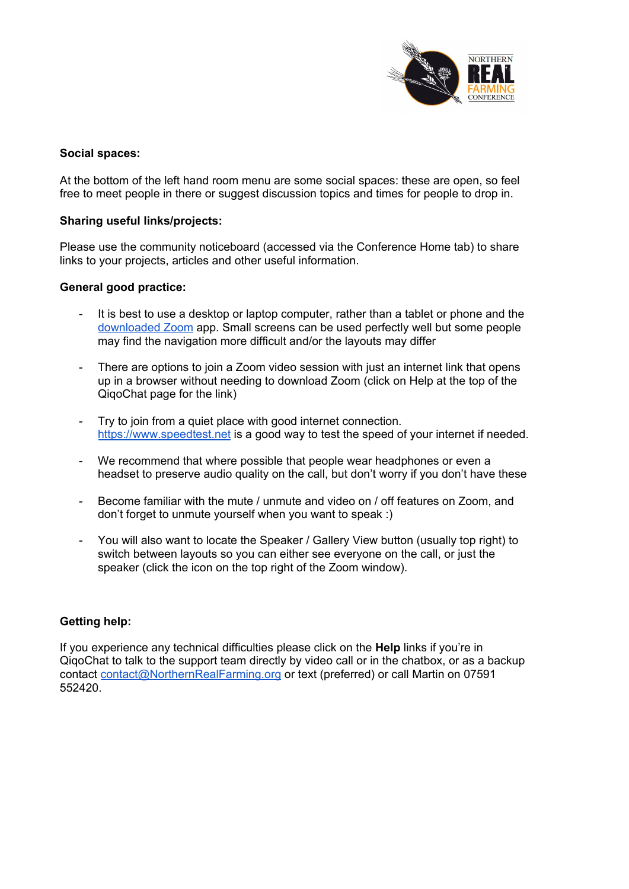

### **Social spaces:**

At the bottom of the left hand room menu are some social spaces: these are open, so feel free to meet people in there or suggest discussion topics and times for people to drop in.

### **Sharing useful links/projects:**

Please use the community noticeboard (accessed via the Conference Home tab) to share links to your projects, articles and other useful information.

### **General good practice:**

- It is best to use a desktop or laptop computer, rather than a tablet or phone and the [downloaded](https://zoom.us/download) Zoom app. Small screens can be used perfectly well but some people may find the navigation more difficult and/or the layouts may differ
- There are options to join a Zoom video session with just an internet link that opens up in a browser without needing to download Zoom (click on Help at the top of the QiqoChat page for the link)
- Try to join from a quiet place with good internet connection. [https://www.speedtest.net](https://www.speedtest.net/) is a good way to test the speed of your internet if needed.
- We recommend that where possible that people wear headphones or even a headset to preserve audio quality on the call, but don't worry if you don't have these
- Become familiar with the mute / unmute and video on / off features on Zoom, and don't forget to unmute yourself when you want to speak :)
- You will also want to locate the Speaker / Gallery View button (usually top right) to switch between layouts so you can either see everyone on the call, or just the speaker (click the icon on the top right of the Zoom window).

## **Getting help:**

If you experience any technical difficulties please click on the **Help** links if you're in QiqoChat to talk to the support team directly by video call or in the chatbox, or as a backup contact [contact@NorthernRealFarming.org](mailto:contact@NorthernRealFarming.org) or text (preferred) or call Martin on 07591 552420.